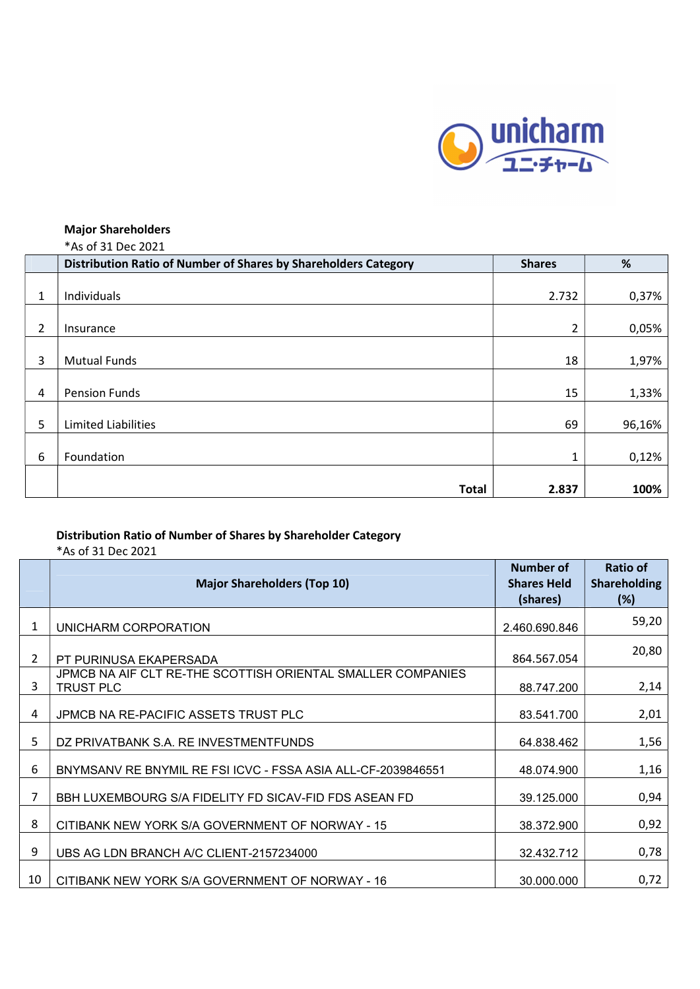

## Major Shareholders

|  |  | *As of 31 Dec 2021 |  |
|--|--|--------------------|--|
|  |  |                    |  |

|   | Distribution Ratio of Number of Shares by Shareholders Category | <b>Shares</b> | %      |
|---|-----------------------------------------------------------------|---------------|--------|
|   |                                                                 |               |        |
| 1 | Individuals                                                     | 2.732         | 0,37%  |
| 2 | Insurance                                                       | 2             | 0,05%  |
| 3 | <b>Mutual Funds</b>                                             | 18            | 1,97%  |
| 4 | <b>Pension Funds</b>                                            | 15            | 1,33%  |
| 5 | <b>Limited Liabilities</b>                                      | 69            | 96,16% |
| 6 | Foundation                                                      | $\mathbf{1}$  | 0,12%  |
|   | <b>Total</b>                                                    | 2.837         | 100%   |

## Distribution Ratio of Number of Shares by Shareholder Category

\*As of 31 Dec 2021

|    | <b>Major Shareholders (Top 10)</b>                                       | <b>Number of</b><br><b>Shares Held</b><br>(shares) | <b>Ratio of</b><br><b>Shareholding</b><br>(%) |
|----|--------------------------------------------------------------------------|----------------------------------------------------|-----------------------------------------------|
| 1  | UNICHARM CORPORATION                                                     | 2.460.690.846                                      | 59,20                                         |
| 2  | PT PURINUSA EKAPERSADA                                                   | 864.567.054                                        | 20,80                                         |
| 3  | JPMCB NA AIF CLT RE-THE SCOTTISH ORIENTAL SMALLER COMPANIES<br>TRUST PLC | 88.747.200                                         | 2,14                                          |
| 4  | JPMCB NA RE-PACIFIC ASSETS TRUST PLC                                     | 83.541.700                                         | 2,01                                          |
| 5  | DZ PRIVATBANK S.A. RE INVESTMENTFUNDS                                    | 64.838.462                                         | 1,56                                          |
| 6  | BNYMSANV RE BNYMIL RE FSI ICVC - FSSA ASIA ALL-CF-2039846551             | 48.074.900                                         | 1,16                                          |
| 7  | BBH LUXEMBOURG S/A FIDELITY FD SICAV-FID FDS ASEAN FD                    | 39.125.000                                         | 0,94                                          |
| 8  | CITIBANK NEW YORK S/A GOVERNMENT OF NORWAY - 15                          | 38.372.900                                         | 0,92                                          |
| 9  | UBS AG LDN BRANCH A/C CLIENT-2157234000                                  | 32.432.712                                         | 0,78                                          |
| 10 | CITIBANK NEW YORK S/A GOVERNMENT OF NORWAY - 16                          | 30.000.000                                         | 0,72                                          |